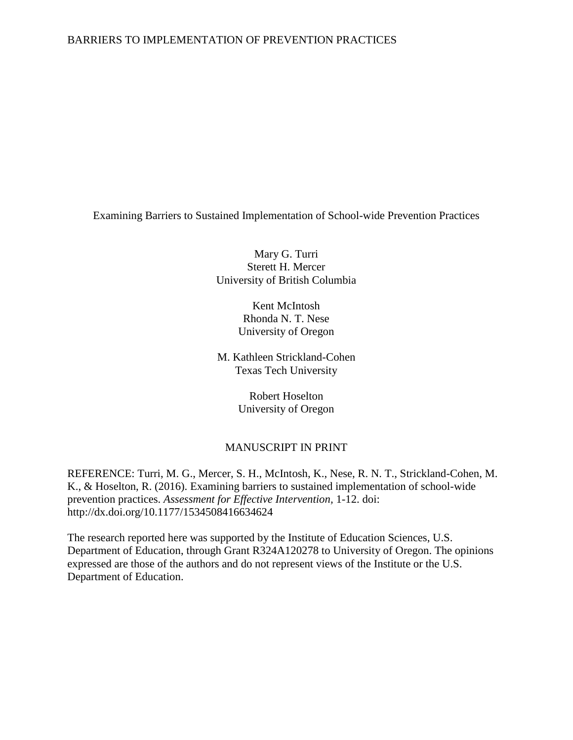## BARRIERS TO IMPLEMENTATION OF PREVENTION PRACTICES

Examining Barriers to Sustained Implementation of School-wide Prevention Practices

Mary G. Turri Sterett H. Mercer University of British Columbia

> Kent McIntosh Rhonda N. T. Nese University of Oregon

M. Kathleen Strickland-Cohen Texas Tech University

> Robert Hoselton University of Oregon

## MANUSCRIPT IN PRINT

REFERENCE: Turri, M. G., Mercer, S. H., McIntosh, K., Nese, R. N. T., Strickland-Cohen, M. K., & Hoselton, R. (2016). Examining barriers to sustained implementation of school-wide prevention practices. *Assessment for Effective Intervention,* 1-12. doi: http://dx.doi.org/10.1177/1534508416634624

The research reported here was supported by the Institute of Education Sciences, U.S. Department of Education, through Grant R324A120278 to University of Oregon. The opinions expressed are those of the authors and do not represent views of the Institute or the U.S. Department of Education.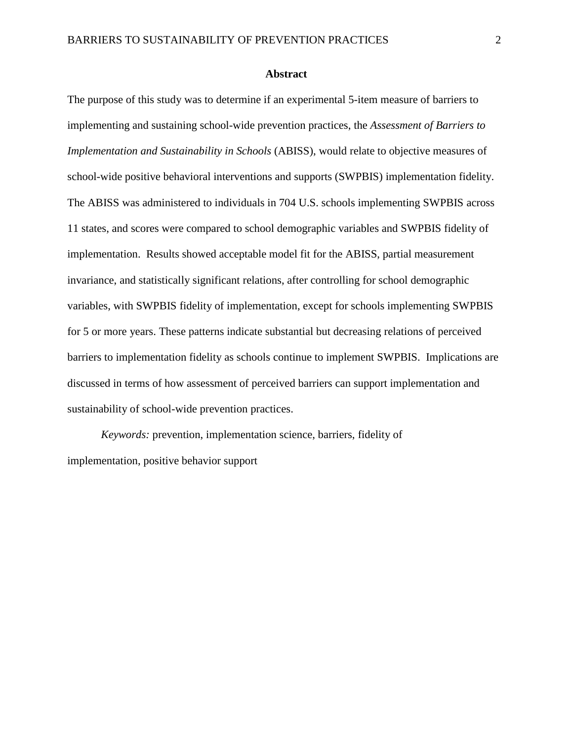#### **Abstract**

The purpose of this study was to determine if an experimental 5-item measure of barriers to implementing and sustaining school-wide prevention practices, the *Assessment of Barriers to Implementation and Sustainability in Schools* (ABISS), would relate to objective measures of school-wide positive behavioral interventions and supports (SWPBIS) implementation fidelity. The ABISS was administered to individuals in 704 U.S. schools implementing SWPBIS across 11 states, and scores were compared to school demographic variables and SWPBIS fidelity of implementation. Results showed acceptable model fit for the ABISS, partial measurement invariance, and statistically significant relations, after controlling for school demographic variables, with SWPBIS fidelity of implementation, except for schools implementing SWPBIS for 5 or more years. These patterns indicate substantial but decreasing relations of perceived barriers to implementation fidelity as schools continue to implement SWPBIS. Implications are discussed in terms of how assessment of perceived barriers can support implementation and sustainability of school-wide prevention practices.

*Keywords:* prevention, implementation science, barriers, fidelity of implementation, positive behavior support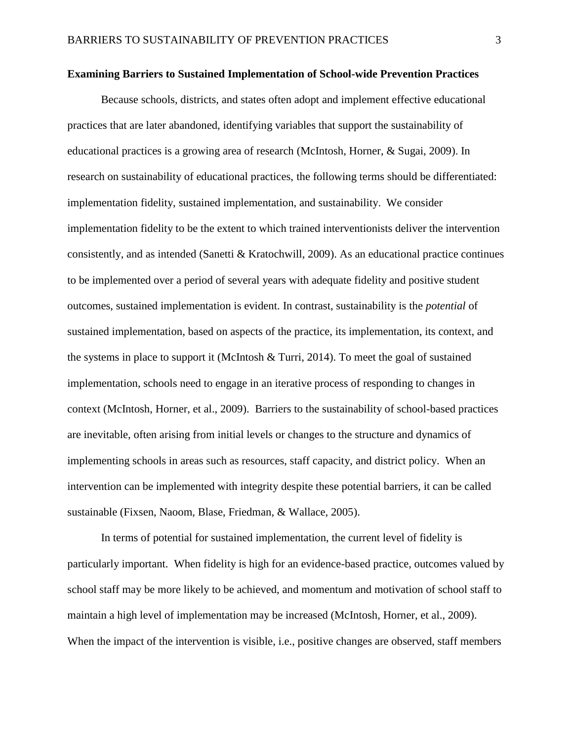#### **Examining Barriers to Sustained Implementation of School-wide Prevention Practices**

Because schools, districts, and states often adopt and implement effective educational practices that are later abandoned, identifying variables that support the sustainability of educational practices is a growing area of research [\(McIntosh, Horner, & Sugai, 2009\)](#page-28-0). In research on sustainability of educational practices, the following terms should be differentiated: implementation fidelity, sustained implementation, and sustainability. We consider implementation fidelity to be the extent to which trained interventionists deliver the intervention consistently, and as intended (Sanetti [& Kratochwill, 2009\)](#page-30-0). As an educational practice continues to be implemented over a period of several years with adequate fidelity and positive student outcomes, sustained implementation is evident. In contrast, sustainability is the *potential* of sustained implementation, based on aspects of the practice, its implementation, its context, and the systems in place to support it [\(McIntosh & Turri, 2014\)](#page-29-0). To meet the goal of sustained implementation, schools need to engage in an iterative process of responding to changes in context [\(McIntosh, Horner, et al., 2009\)](#page-28-0). Barriers to the sustainability of school-based practices are inevitable, often arising from initial levels or changes to the structure and dynamics of implementing schools in areas such as resources, staff capacity, and district policy. When an intervention can be implemented with integrity despite these potential barriers, it can be called sustainable [\(Fixsen, Naoom, Blase, Friedman, & Wallace, 2005\)](#page-25-0).

In terms of potential for sustained implementation, the current level of fidelity is particularly important. When fidelity is high for an evidence-based practice, outcomes valued by school staff may be more likely to be achieved, and momentum and motivation of school staff to maintain a high level of implementation may be increased [\(McIntosh, Horner, et al., 2009\)](#page-28-0). When the impact of the intervention is visible, i.e., positive changes are observed, staff members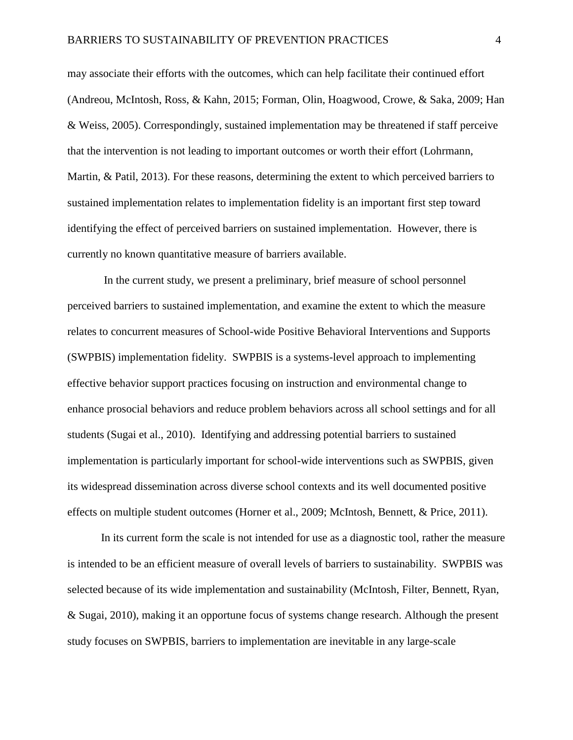may associate their efforts with the outcomes, which can help facilitate their continued effort [\(Andreou, McIntosh, Ross, & Kahn, 2015;](#page-25-1) [Forman, Olin, Hoagwood, Crowe, & Saka, 2009;](#page-26-0) [Han](#page-26-1)  [& Weiss, 2005\)](#page-26-1). Correspondingly, sustained implementation may be threatened if staff perceive that the intervention is not leading to important outcomes or worth their effort [\(Lohrmann,](#page-27-0)  [Martin, & Patil, 2013\)](#page-27-0). For these reasons, determining the extent to which perceived barriers to sustained implementation relates to implementation fidelity is an important first step toward identifying the effect of perceived barriers on sustained implementation. However, there is currently no known quantitative measure of barriers available.

In the current study, we present a preliminary, brief measure of school personnel perceived barriers to sustained implementation, and examine the extent to which the measure relates to concurrent measures of School-wide Positive Behavioral Interventions and Supports (SWPBIS) implementation fidelity. SWPBIS is a systems-level approach to implementing effective behavior support practices focusing on instruction and environmental change to enhance prosocial behaviors and reduce problem behaviors across all school settings and for all students [\(Sugai et al., 2010\)](#page-30-1). Identifying and addressing potential barriers to sustained implementation is particularly important for school-wide interventions such as SWPBIS, given its widespread dissemination across diverse school contexts and its well documented positive effects on multiple student outcomes [\(Horner et al., 2009;](#page-26-2) [McIntosh, Bennett, & Price, 2011\)](#page-28-1).

In its current form the scale is not intended for use as a diagnostic tool, rather the measure is intended to be an efficient measure of overall levels of barriers to sustainability. SWPBIS was selected because of its wide implementation and sustainability [\(McIntosh, Filter, Bennett, Ryan,](#page-28-2)  [& Sugai, 2010\)](#page-28-2), making it an opportune focus of systems change research. Although the present study focuses on SWPBIS, barriers to implementation are inevitable in any large-scale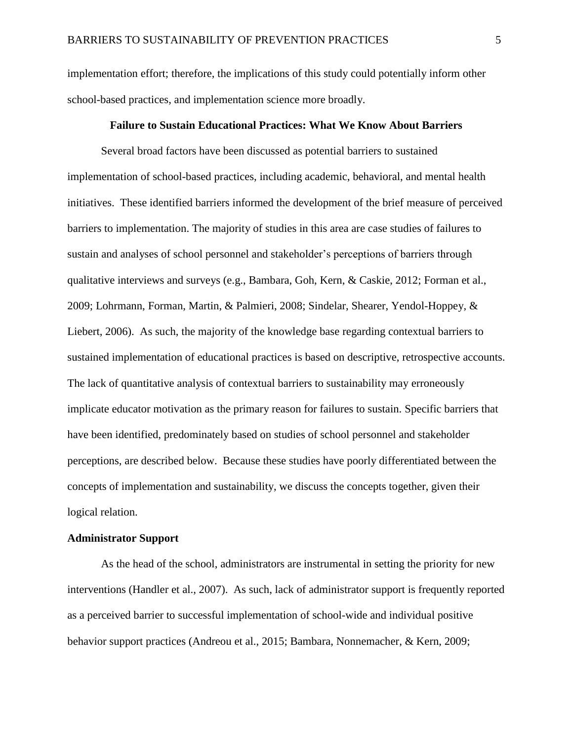implementation effort; therefore, the implications of this study could potentially inform other school-based practices, and implementation science more broadly.

### **Failure to Sustain Educational Practices: What We Know About Barriers**

Several broad factors have been discussed as potential barriers to sustained implementation of school-based practices, including academic, behavioral, and mental health initiatives. These identified barriers informed the development of the brief measure of perceived barriers to implementation. The majority of studies in this area are case studies of failures to sustain and analyses of school personnel and stakeholder's perceptions of barriers through qualitative interviews and surveys (e.g., [Bambara, Goh, Kern, & Caskie, 2012;](#page-25-2) [Forman et al.,](#page-26-0)  [2009;](#page-26-0) [Lohrmann, Forman, Martin, & Palmieri, 2008;](#page-27-1) [Sindelar, Shearer, Yendol-Hoppey, &](#page-30-2)  [Liebert, 2006\)](#page-30-2). As such, the majority of the knowledge base regarding contextual barriers to sustained implementation of educational practices is based on descriptive, retrospective accounts. The lack of quantitative analysis of contextual barriers to sustainability may erroneously implicate educator motivation as the primary reason for failures to sustain. Specific barriers that have been identified, predominately based on studies of school personnel and stakeholder perceptions, are described below. Because these studies have poorly differentiated between the concepts of implementation and sustainability, we discuss the concepts together, given their logical relation.

#### **Administrator Support**

As the head of the school, administrators are instrumental in setting the priority for new interventions [\(Handler et al., 2007\)](#page-26-3). As such, lack of administrator support is frequently reported as a perceived barrier to successful implementation of school-wide and individual positive behavior support practices [\(Andreou et al., 2015;](#page-25-1) [Bambara, Nonnemacher, & Kern, 2009;](#page-25-3)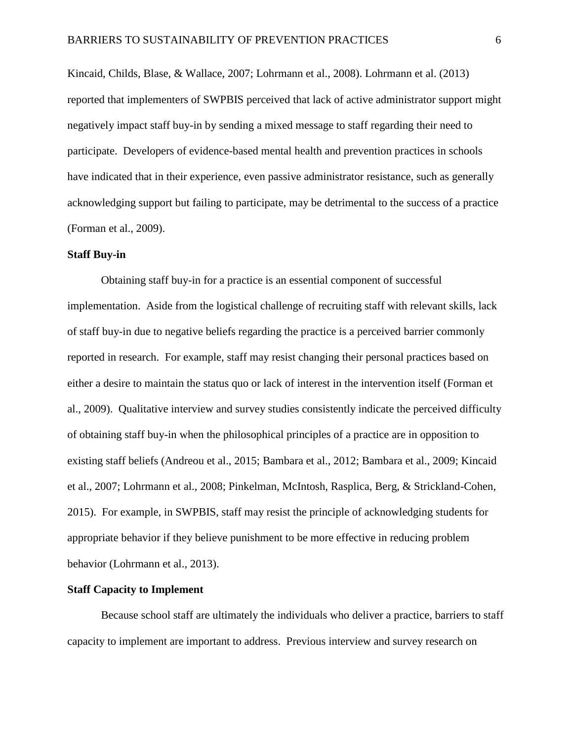[Kincaid, Childs, Blase, & Wallace, 2007;](#page-27-2) [Lohrmann et al., 2008\)](#page-27-1). [Lohrmann et al. \(2013\)](#page-27-0) reported that implementers of SWPBIS perceived that lack of active administrator support might negatively impact staff buy-in by sending a mixed message to staff regarding their need to participate. Developers of evidence-based mental health and prevention practices in schools have indicated that in their experience, even passive administrator resistance, such as generally acknowledging support but failing to participate, may be detrimental to the success of a practice [\(Forman et al., 2009\)](#page-26-0).

#### **Staff Buy-in**

Obtaining staff buy-in for a practice is an essential component of successful implementation. Aside from the logistical challenge of recruiting staff with relevant skills, lack of staff buy-in due to negative beliefs regarding the practice is a perceived barrier commonly reported in research. For example, staff may resist changing their personal practices based on either a desire to maintain the status quo or lack of interest in the intervention itself [\(Forman et](#page-26-0)  [al., 2009\)](#page-26-0). Qualitative interview and survey studies consistently indicate the perceived difficulty of obtaining staff buy-in when the philosophical principles of a practice are in opposition to existing staff beliefs [\(Andreou et al., 2015;](#page-25-1) [Bambara et al., 2012;](#page-25-2) [Bambara et al., 2009;](#page-25-3) [Kincaid](#page-27-2)  [et al., 2007;](#page-27-2) [Lohrmann et al., 2008;](#page-27-1) [Pinkelman, McIntosh, Rasplica, Berg, & Strickland-Cohen,](#page-29-1)  [2015\)](#page-29-1). For example, in SWPBIS, staff may resist the principle of acknowledging students for appropriate behavior if they believe punishment to be more effective in reducing problem behavior [\(Lohrmann et al., 2013\)](#page-27-0).

#### **Staff Capacity to Implement**

Because school staff are ultimately the individuals who deliver a practice, barriers to staff capacity to implement are important to address. Previous interview and survey research on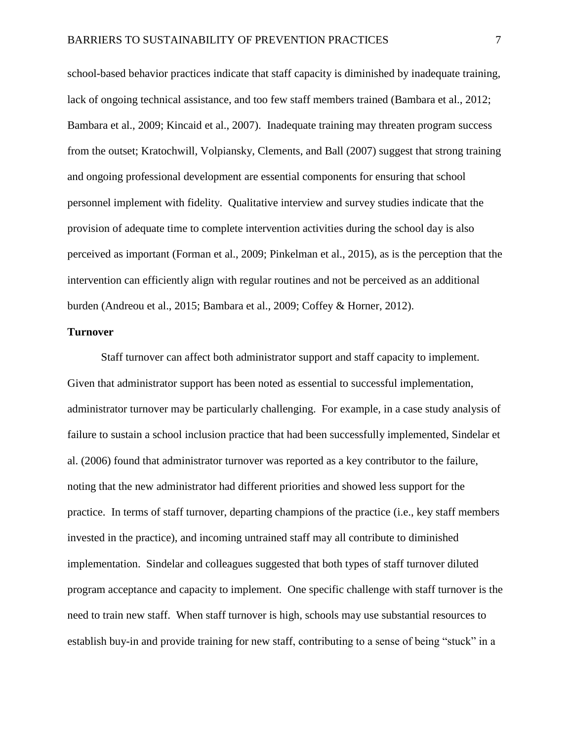school-based behavior practices indicate that staff capacity is diminished by inadequate training, lack of ongoing technical assistance, and too few staff members trained [\(Bambara et al., 2012;](#page-25-2) [Bambara et al., 2009;](#page-25-3) [Kincaid et al., 2007\)](#page-27-2). Inadequate training may threaten program success from the outset; [Kratochwill, Volpiansky, Clements, and Ball \(2007\)](#page-27-3) suggest that strong training and ongoing professional development are essential components for ensuring that school personnel implement with fidelity. Qualitative interview and survey studies indicate that the provision of adequate time to complete intervention activities during the school day is also perceived as important [\(Forman et al., 2009;](#page-26-0) [Pinkelman et al., 2015\)](#page-29-1), as is the perception that the intervention can efficiently align with regular routines and not be perceived as an additional burden [\(Andreou et al., 2015;](#page-25-1) [Bambara et al., 2009;](#page-25-3) [Coffey & Horner, 2012\)](#page-25-4).

#### **Turnover**

Staff turnover can affect both administrator support and staff capacity to implement. Given that administrator support has been noted as essential to successful implementation, administrator turnover may be particularly challenging. For example, in a case study analysis of failure to sustain a school inclusion practice that had been successfully implemented, [Sindelar et](#page-30-2)  [al. \(2006\)](#page-30-2) found that administrator turnover was reported as a key contributor to the failure, noting that the new administrator had different priorities and showed less support for the practice. In terms of staff turnover, departing champions of the practice (i.e., key staff members invested in the practice), and incoming untrained staff may all contribute to diminished implementation. Sindelar and colleagues suggested that both types of staff turnover diluted program acceptance and capacity to implement. One specific challenge with staff turnover is the need to train new staff. When staff turnover is high, schools may use substantial resources to establish buy-in and provide training for new staff, contributing to a sense of being "stuck" in a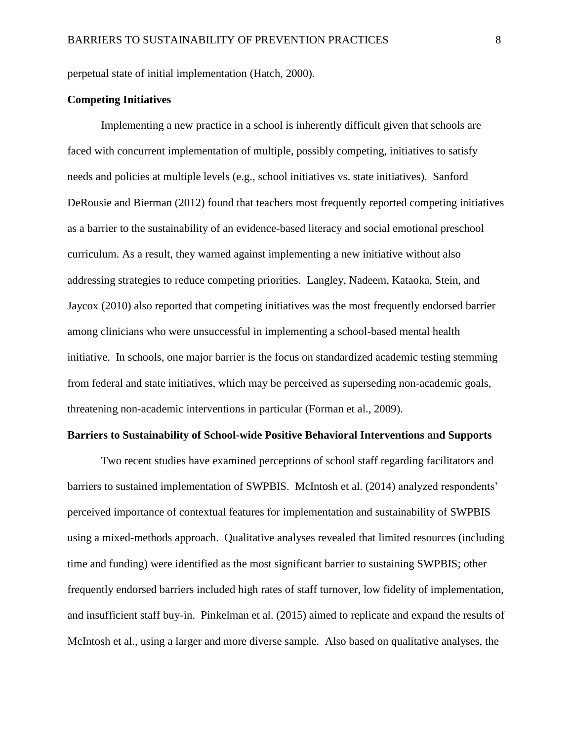perpetual state of initial implementation [\(Hatch, 2000\)](#page-26-4).

## **Competing Initiatives**

Implementing a new practice in a school is inherently difficult given that schools are faced with concurrent implementation of multiple, possibly competing, initiatives to satisfy needs and policies at multiple levels (e.g., school initiatives vs. state initiatives). [Sanford](#page-30-3)  [DeRousie and Bierman \(2012\)](#page-30-3) found that teachers most frequently reported competing initiatives as a barrier to the sustainability of an evidence-based literacy and social emotional preschool curriculum. As a result, they warned against implementing a new initiative without also addressing strategies to reduce competing priorities. [Langley, Nadeem, Kataoka, Stein, and](#page-27-4)  [Jaycox \(2010\)](#page-27-4) also reported that competing initiatives was the most frequently endorsed barrier among clinicians who were unsuccessful in implementing a school-based mental health initiative. In schools, one major barrier is the focus on standardized academic testing stemming from federal and state initiatives, which may be perceived as superseding non-academic goals, threatening non-academic interventions in particular [\(Forman et al., 2009\)](#page-26-0).

#### **Barriers to Sustainability of School-wide Positive Behavioral Interventions and Supports**

Two recent studies have examined perceptions of school staff regarding facilitators and barriers to sustained implementation of SWPBIS. [McIntosh et al. \(2014\)](#page-29-2) analyzed respondents' perceived importance of contextual features for implementation and sustainability of SWPBIS using a mixed-methods approach. Qualitative analyses revealed that limited resources (including time and funding) were identified as the most significant barrier to sustaining SWPBIS; other frequently endorsed barriers included high rates of staff turnover, low fidelity of implementation, and insufficient staff buy-in. [Pinkelman et al. \(2015\)](#page-29-1) aimed to replicate and expand the results of McIntosh et al., using a larger and more diverse sample. Also based on qualitative analyses, the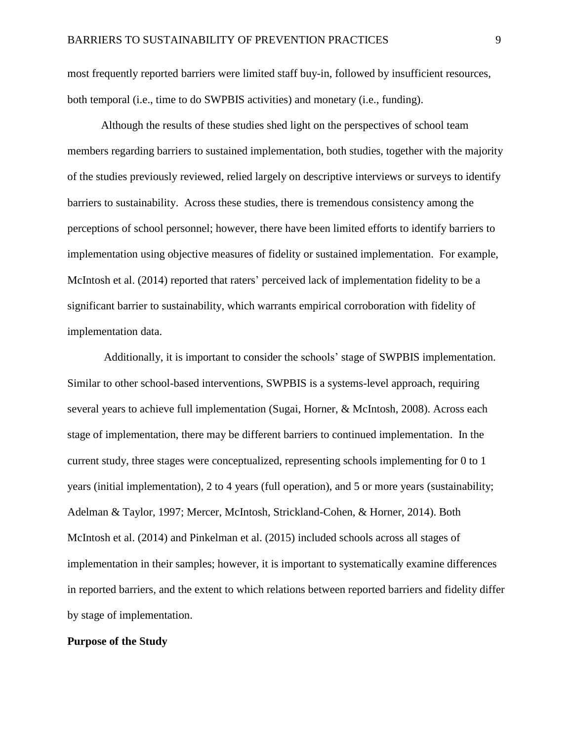most frequently reported barriers were limited staff buy-in, followed by insufficient resources, both temporal (i.e., time to do SWPBIS activities) and monetary (i.e., funding).

Although the results of these studies shed light on the perspectives of school team members regarding barriers to sustained implementation, both studies, together with the majority of the studies previously reviewed, relied largely on descriptive interviews or surveys to identify barriers to sustainability. Across these studies, there is tremendous consistency among the perceptions of school personnel; however, there have been limited efforts to identify barriers to implementation using objective measures of fidelity or sustained implementation. For example, [McIntosh et al. \(2014\)](#page-29-2) reported that raters' perceived lack of implementation fidelity to be a significant barrier to sustainability, which warrants empirical corroboration with fidelity of implementation data.

Additionally, it is important to consider the schools' stage of SWPBIS implementation. Similar to other school-based interventions, SWPBIS is a systems-level approach, requiring several years to achieve full implementation [\(Sugai, Horner, & McIntosh, 2008\)](#page-30-4). Across each stage of implementation, there may be different barriers to continued implementation. In the current study, three stages were conceptualized, representing schools implementing for 0 to 1 years (initial implementation), 2 to 4 years (full operation), and 5 or more years (sustainability; [Adelman & Taylor, 1997;](#page-25-5) [Mercer, McIntosh, Strickland-Cohen, & Horner, 2014\)](#page-29-3). Both [McIntosh et al. \(2014\)](#page-29-2) and [Pinkelman et al. \(2015\)](#page-29-1) included schools across all stages of implementation in their samples; however, it is important to systematically examine differences in reported barriers, and the extent to which relations between reported barriers and fidelity differ by stage of implementation.

#### **Purpose of the Study**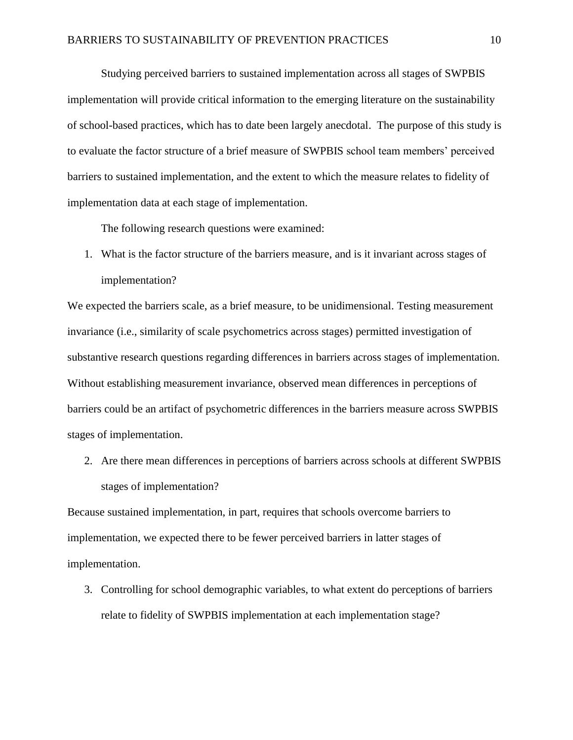Studying perceived barriers to sustained implementation across all stages of SWPBIS implementation will provide critical information to the emerging literature on the sustainability of school-based practices, which has to date been largely anecdotal. The purpose of this study is to evaluate the factor structure of a brief measure of SWPBIS school team members' perceived barriers to sustained implementation, and the extent to which the measure relates to fidelity of implementation data at each stage of implementation.

The following research questions were examined:

1. What is the factor structure of the barriers measure, and is it invariant across stages of implementation?

We expected the barriers scale, as a brief measure, to be unidimensional. Testing measurement invariance (i.e., similarity of scale psychometrics across stages) permitted investigation of substantive research questions regarding differences in barriers across stages of implementation. Without establishing measurement invariance, observed mean differences in perceptions of barriers could be an artifact of psychometric differences in the barriers measure across SWPBIS stages of implementation.

2. Are there mean differences in perceptions of barriers across schools at different SWPBIS stages of implementation?

Because sustained implementation, in part, requires that schools overcome barriers to implementation, we expected there to be fewer perceived barriers in latter stages of implementation.

3. Controlling for school demographic variables, to what extent do perceptions of barriers relate to fidelity of SWPBIS implementation at each implementation stage?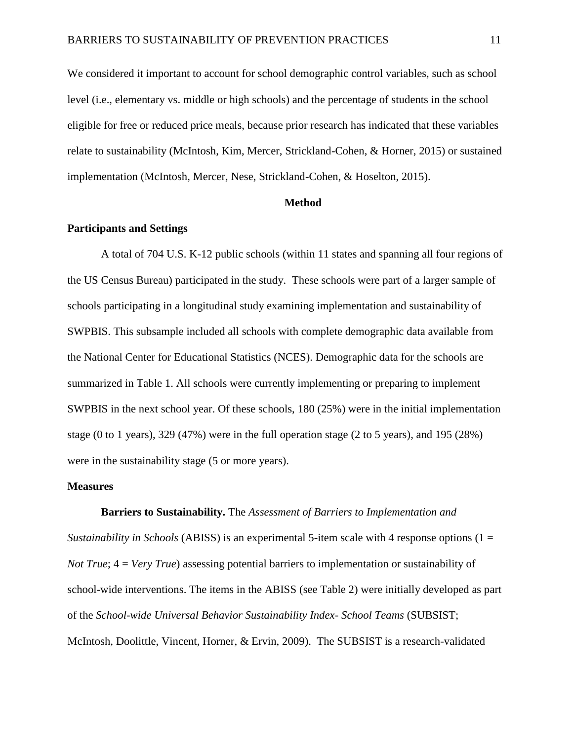We considered it important to account for school demographic control variables, such as school level (i.e., elementary vs. middle or high schools) and the percentage of students in the school eligible for free or reduced price meals, because prior research has indicated that these variables relate to sustainability [\(McIntosh, Kim, Mercer, Strickland-Cohen, & Horner, 2015\)](#page-28-3) or sustained implementation [\(McIntosh, Mercer, Nese, Strickland-Cohen, & Hoselton, 2015\)](#page-29-4).

#### **Method**

#### **Participants and Settings**

A total of 704 U.S. K-12 public schools (within 11 states and spanning all four regions of the US Census Bureau) participated in the study. These schools were part of a larger sample of schools participating in a longitudinal study examining implementation and sustainability of SWPBIS. This subsample included all schools with complete demographic data available from the National Center for Educational Statistics (NCES). Demographic data for the schools are summarized in Table 1. All schools were currently implementing or preparing to implement SWPBIS in the next school year. Of these schools, 180 (25%) were in the initial implementation stage (0 to 1 years), 329 (47%) were in the full operation stage (2 to 5 years), and 195 (28%) were in the sustainability stage (5 or more years).

#### **Measures**

#### **Barriers to Sustainability.** The *Assessment of Barriers to Implementation and*

*Sustainability in Schools* (ABISS) is an experimental 5-item scale with 4 response options (1 = *Not True*; 4 = *Very True*) assessing potential barriers to implementation or sustainability of school-wide interventions. The items in the ABISS (see Table 2) were initially developed as part of the *School-wide Universal Behavior Sustainability Index- School Teams* [\(SUBSIST;](#page-28-4)  [McIntosh, Doolittle, Vincent, Horner, & Ervin, 2009\)](#page-28-4). The SUBSIST is a research-validated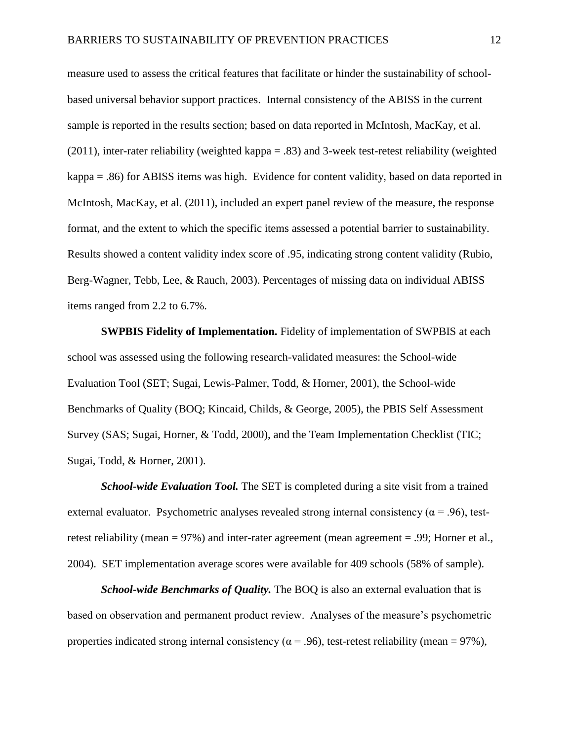measure used to assess the critical features that facilitate or hinder the sustainability of schoolbased universal behavior support practices. Internal consistency of the ABISS in the current sample is reported in the results section; based on data reported in [McIntosh, MacKay, et al.](#page-28-5)  [\(2011\)](#page-28-5), inter-rater reliability (weighted kappa = .83) and 3-week test-retest reliability (weighted kappa = .86) for ABISS items was high. Evidence for content validity, based on data reported in McIntosh, MacKay, et al. (2011), included an expert panel review of the measure, the response format, and the extent to which the specific items assessed a potential barrier to sustainability. Results showed a content validity index score of .95, indicating strong content validity [\(Rubio,](#page-30-5)  [Berg-Wagner, Tebb, Lee, & Rauch, 2003\)](#page-30-5). Percentages of missing data on individual ABISS items ranged from 2.2 to 6.7%.

**SWPBIS Fidelity of Implementation.** Fidelity of implementation of SWPBIS at each school was assessed using the following research-validated measures: the School-wide Evaluation Tool [\(SET; Sugai, Lewis-Palmer, Todd, & Horner, 2001\)](#page-31-0), the School-wide Benchmarks of Quality [\(BOQ; Kincaid, Childs, & George, 2005\)](#page-27-5), the PBIS Self Assessment Survey [\(SAS; Sugai, Horner, & Todd, 2000\)](#page-31-1), and the Team Implementation Checklist [\(TIC;](#page-31-2)  [Sugai, Todd, & Horner, 2001\)](#page-31-2).

*School-wide Evaluation Tool.* The SET is completed during a site visit from a trained external evaluator. Psychometric analyses revealed strong internal consistency ( $\alpha$  = .96), testretest reliability (mean = 97%) and inter-rater agreement [\(mean agreement = .99; Horner et al.,](#page-27-6)  [2004\)](#page-27-6). SET implementation average scores were available for 409 schools (58% of sample).

*School-wide Benchmarks of Quality.* The BOQ is also an external evaluation that is based on observation and permanent product review. Analyses of the measure's psychometric properties indicated strong internal consistency ( $\alpha$  = .96), test-retest reliability (mean = 97%),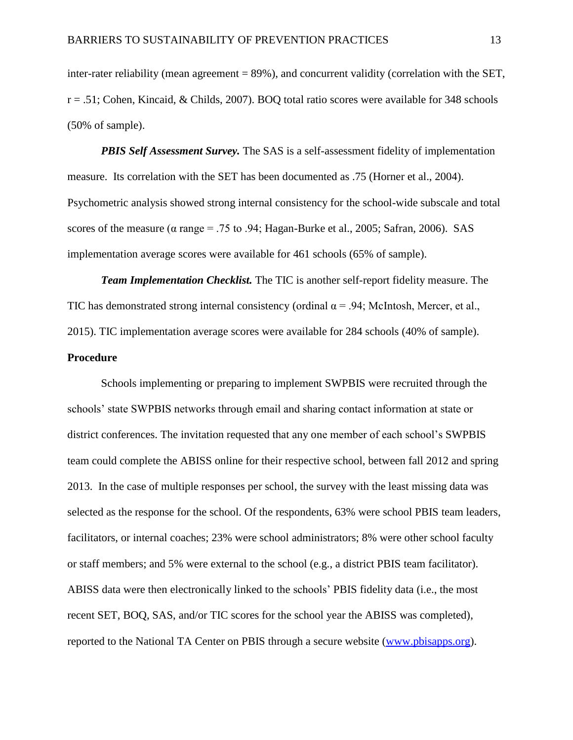inter-rater reliability (mean agreement  $= 89\%$ ), and concurrent validity (correlation with the SET, [r = .51; Cohen, Kincaid, & Childs, 2007\)](#page-25-6). BOQ total ratio scores were available for 348 schools (50% of sample).

*PBIS Self Assessment Survey.* The SAS is a self-assessment fidelity of implementation measure. Its correlation with the SET has been documented as .75 [\(Horner et al., 2004\)](#page-27-6). Psychometric analysis showed strong internal consistency for the school-wide subscale and total scores of the measure ( $\alpha$  range = .75 to .94; [Hagan-Burke et al., 2005;](#page-26-5) [Safran, 2006\)](#page-30-6). SAS implementation average scores were available for 461 schools (65% of sample).

*Team Implementation Checklist.* The TIC is another self-report fidelity measure. The TIC has demonstrated strong internal consistency (ordinal  $\alpha$  = .94; McIntosh, Mercer, et al., [2015\)](#page-29-4). TIC implementation average scores were available for 284 schools (40% of sample).

#### **Procedure**

Schools implementing or preparing to implement SWPBIS were recruited through the schools' state SWPBIS networks through email and sharing contact information at state or district conferences. The invitation requested that any one member of each school's SWPBIS team could complete the ABISS online for their respective school, between fall 2012 and spring 2013. In the case of multiple responses per school, the survey with the least missing data was selected as the response for the school. Of the respondents, 63% were school PBIS team leaders, facilitators, or internal coaches; 23% were school administrators; 8% were other school faculty or staff members; and 5% were external to the school (e.g., a district PBIS team facilitator). ABISS data were then electronically linked to the schools' PBIS fidelity data (i.e., the most recent SET, BOQ, SAS, and/or TIC scores for the school year the ABISS was completed), reported to the National TA Center on PBIS through a secure website [\(www.pbisapps.org\)](http://www.pbisapps.org/).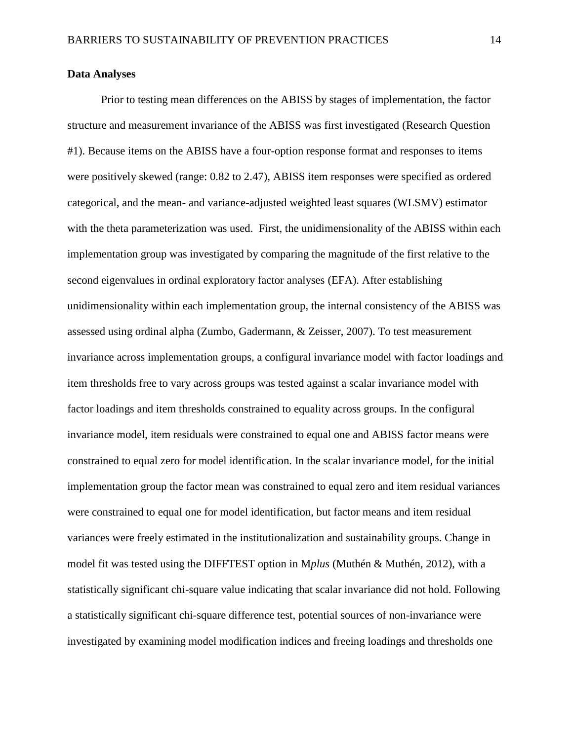#### **Data Analyses**

Prior to testing mean differences on the ABISS by stages of implementation, the factor structure and measurement invariance of the ABISS was first investigated (Research Question #1). Because items on the ABISS have a four-option response format and responses to items were positively skewed (range: 0.82 to 2.47), ABISS item responses were specified as ordered categorical, and the mean- and variance-adjusted weighted least squares (WLSMV) estimator with the theta parameterization was used. First, the unidimensionality of the ABISS within each implementation group was investigated by comparing the magnitude of the first relative to the second eigenvalues in ordinal exploratory factor analyses (EFA). After establishing unidimensionality within each implementation group, the internal consistency of the ABISS was assessed using ordinal alpha [\(Zumbo, Gadermann, & Zeisser, 2007\)](#page-31-3). To test measurement invariance across implementation groups, a configural invariance model with factor loadings and item thresholds free to vary across groups was tested against a scalar invariance model with factor loadings and item thresholds constrained to equality across groups. In the configural invariance model, item residuals were constrained to equal one and ABISS factor means were constrained to equal zero for model identification. In the scalar invariance model, for the initial implementation group the factor mean was constrained to equal zero and item residual variances were constrained to equal one for model identification, but factor means and item residual variances were freely estimated in the institutionalization and sustainability groups. Change in model fit was tested using the DIFFTEST option in M*plus* [\(Muthén & Muthén, 2012\)](#page-29-5), with a statistically significant chi-square value indicating that scalar invariance did not hold. Following a statistically significant chi-square difference test, potential sources of non-invariance were investigated by examining model modification indices and freeing loadings and thresholds one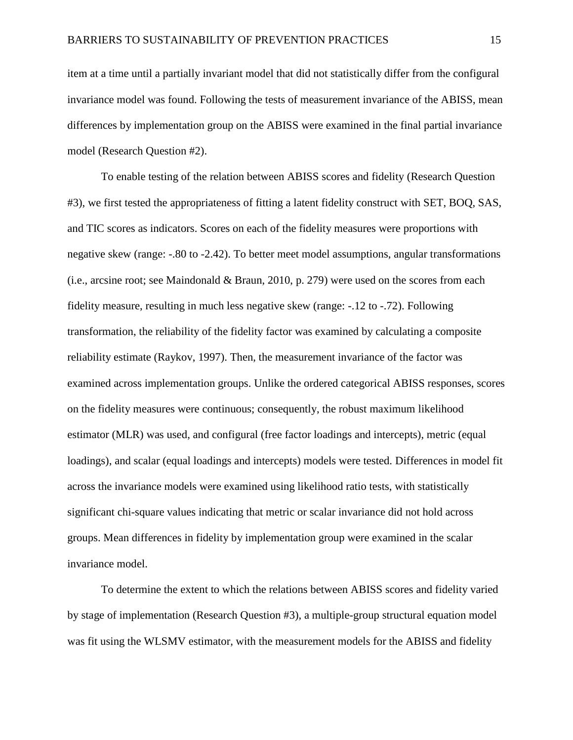item at a time until a partially invariant model that did not statistically differ from the configural invariance model was found. Following the tests of measurement invariance of the ABISS, mean differences by implementation group on the ABISS were examined in the final partial invariance model (Research Question #2).

To enable testing of the relation between ABISS scores and fidelity (Research Question #3), we first tested the appropriateness of fitting a latent fidelity construct with SET, BOQ, SAS, and TIC scores as indicators. Scores on each of the fidelity measures were proportions with negative skew (range: -.80 to -2.42). To better meet model assumptions, angular transformations [\(i.e., arcsine root; see Maindonald & Braun, 2010, p. 279\)](#page-27-7) were used on the scores from each fidelity measure, resulting in much less negative skew (range: -.12 to -.72). Following transformation, the reliability of the fidelity factor was examined by calculating a composite reliability estimate [\(Raykov, 1997\)](#page-30-7). Then, the measurement invariance of the factor was examined across implementation groups. Unlike the ordered categorical ABISS responses, scores on the fidelity measures were continuous; consequently, the robust maximum likelihood estimator (MLR) was used, and configural (free factor loadings and intercepts), metric (equal loadings), and scalar (equal loadings and intercepts) models were tested. Differences in model fit across the invariance models were examined using likelihood ratio tests, with statistically significant chi-square values indicating that metric or scalar invariance did not hold across groups. Mean differences in fidelity by implementation group were examined in the scalar invariance model.

To determine the extent to which the relations between ABISS scores and fidelity varied by stage of implementation (Research Question #3), a multiple-group structural equation model was fit using the WLSMV estimator, with the measurement models for the ABISS and fidelity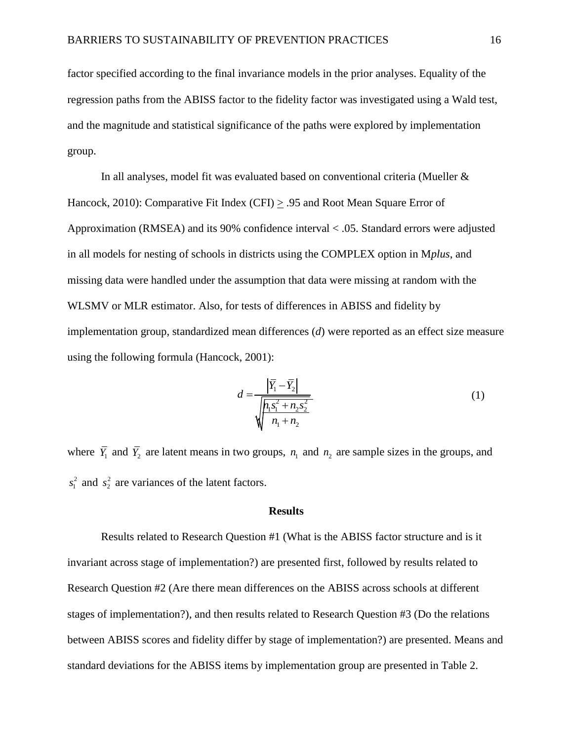factor specified according to the final invariance models in the prior analyses. Equality of the regression paths from the ABISS factor to the fidelity factor was investigated using a Wald test, and the magnitude and statistical significance of the paths were explored by implementation group.

In all analyses, model fit was evaluated based on conventional criteria [\(Mueller &](#page-29-6)  [Hancock, 2010\)](#page-29-6): Comparative Fit Index (CFI)  $\geq$  .95 and Root Mean Square Error of Approximation (RMSEA) and its 90% confidence interval < .05. Standard errors were adjusted in all models for nesting of schools in districts using the COMPLEX option in M*plus*, and missing data were handled under the assumption that data were missing at random with the WLSMV or MLR estimator. Also, for tests of differences in ABISS and fidelity by implementation group, standardized mean differences (*d*) were reported as an effect size measure using the following formula [\(Hancock, 2001\)](#page-26-6):

$$
d = \frac{\left|\overline{Y}_1 - \overline{Y}_2\right|}{\sqrt{\frac{h_1 s_1^2 + n_2 s_2^2}{n_1 + n_2}}}
$$
(1)

where  $\overline{Y}_1$  and  $\overline{Y}_2$  are latent means in two groups,  $n_1$  and  $n_2$  are sample sizes in the groups, and  $s_1^2$  and  $s_2^2$  are variances of the latent factors.

#### **Results**

Results related to Research Question #1 (What is the ABISS factor structure and is it invariant across stage of implementation?) are presented first, followed by results related to Research Question #2 (Are there mean differences on the ABISS across schools at different stages of implementation?), and then results related to Research Question #3 (Do the relations between ABISS scores and fidelity differ by stage of implementation?) are presented. Means and standard deviations for the ABISS items by implementation group are presented in Table 2.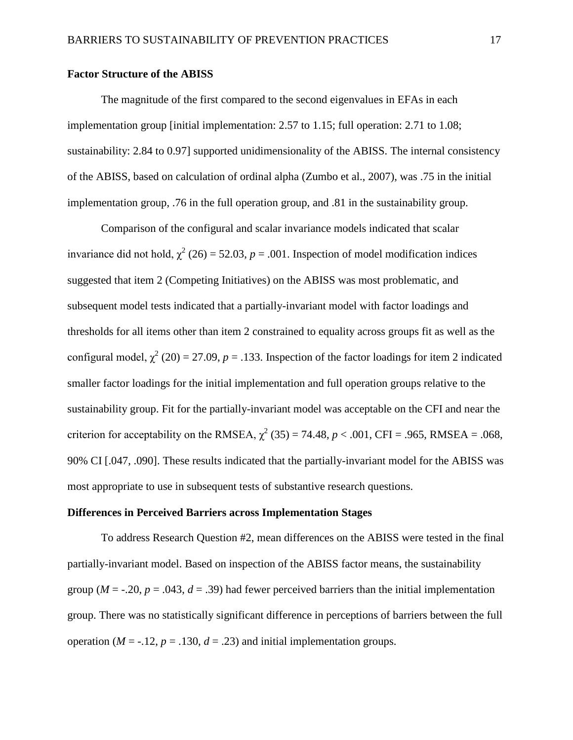#### **Factor Structure of the ABISS**

The magnitude of the first compared to the second eigenvalues in EFAs in each implementation group [initial implementation: 2.57 to 1.15; full operation: 2.71 to 1.08; sustainability: 2.84 to 0.97] supported unidimensionality of the ABISS. The internal consistency of the ABISS, based on calculation of ordinal alpha [\(Zumbo et al., 2007\)](#page-31-3), was .75 in the initial implementation group, .76 in the full operation group, and .81 in the sustainability group.

Comparison of the configural and scalar invariance models indicated that scalar invariance did not hold,  $\chi^2$  (26) = 52.03, *p* = .001. Inspection of model modification indices suggested that item 2 (Competing Initiatives) on the ABISS was most problematic, and subsequent model tests indicated that a partially-invariant model with factor loadings and thresholds for all items other than item 2 constrained to equality across groups fit as well as the configural model,  $\chi^2$  (20) = 27.09, *p* = .133. Inspection of the factor loadings for item 2 indicated smaller factor loadings for the initial implementation and full operation groups relative to the sustainability group. Fit for the partially-invariant model was acceptable on the CFI and near the criterion for acceptability on the RMSEA,  $\chi^2$  (35) = 74.48, *p* < .001, CFI = .965, RMSEA = .068, 90% CI [.047, .090]. These results indicated that the partially-invariant model for the ABISS was most appropriate to use in subsequent tests of substantive research questions.

#### **Differences in Perceived Barriers across Implementation Stages**

To address Research Question #2, mean differences on the ABISS were tested in the final partially-invariant model. Based on inspection of the ABISS factor means, the sustainability group ( $M = -0.20$ ,  $p = 0.043$ ,  $d = 0.39$ ) had fewer perceived barriers than the initial implementation group. There was no statistically significant difference in perceptions of barriers between the full operation ( $M = -12$ ,  $p = 0.130$ ,  $d = 0.23$ ) and initial implementation groups.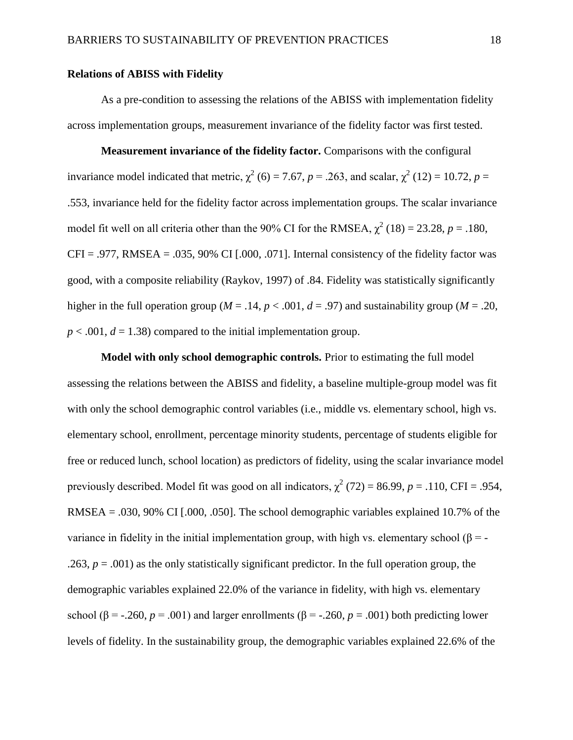#### **Relations of ABISS with Fidelity**

As a pre-condition to assessing the relations of the ABISS with implementation fidelity across implementation groups, measurement invariance of the fidelity factor was first tested.

**Measurement invariance of the fidelity factor.** Comparisons with the configural invariance model indicated that metric,  $\chi^2$  (6) = 7.67, *p* = .263, and scalar,  $\chi^2$  (12) = 10.72, *p* = .553, invariance held for the fidelity factor across implementation groups. The scalar invariance model fit well on all criteria other than the 90% CI for the RMSEA,  $\chi^2$  (18) = 23.28, *p* = .180,  $CFI = .977$ , RMSEA = .035, 90% CI [.000, .071]. Internal consistency of the fidelity factor was good, with a composite reliability [\(Raykov, 1997\)](#page-30-7) of .84. Fidelity was statistically significantly higher in the full operation group ( $M = .14$ ,  $p < .001$ ,  $d = .97$ ) and sustainability group ( $M = .20$ ,  $p < .001$ ,  $d = 1.38$ ) compared to the initial implementation group.

**Model with only school demographic controls.** Prior to estimating the full model assessing the relations between the ABISS and fidelity, a baseline multiple-group model was fit with only the school demographic control variables (i.e., middle vs. elementary school, high vs. elementary school, enrollment, percentage minority students, percentage of students eligible for free or reduced lunch, school location) as predictors of fidelity, using the scalar invariance model previously described. Model fit was good on all indicators,  $\chi^2$  (72) = 86.99, *p* = .110, CFI = .954, RMSEA = .030, 90% CI  $[.000, .050]$ . The school demographic variables explained 10.7% of the variance in fidelity in the initial implementation group, with high vs. elementary school  $(\beta = -1)$ .263,  $p = .001$ ) as the only statistically significant predictor. In the full operation group, the demographic variables explained 22.0% of the variance in fidelity, with high vs. elementary school ( $\beta$  = -.260, *p* = .001) and larger enrollments ( $\beta$  = -.260, *p* = .001) both predicting lower levels of fidelity. In the sustainability group, the demographic variables explained 22.6% of the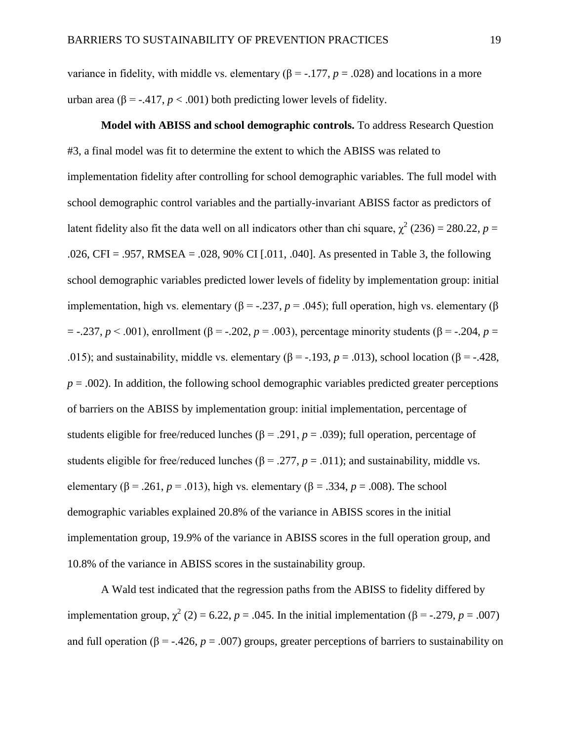variance in fidelity, with middle vs. elementary  $(\beta = -177, p = .028)$  and locations in a more urban area ( $\beta$  = -.417, *p* < .001) both predicting lower levels of fidelity.

**Model with ABISS and school demographic controls.** To address Research Question #3, a final model was fit to determine the extent to which the ABISS was related to implementation fidelity after controlling for school demographic variables. The full model with school demographic control variables and the partially-invariant ABISS factor as predictors of latent fidelity also fit the data well on all indicators other than chi square,  $\chi^2$  (236) = 280.22, *p* = .026, CFI = .957, RMSEA = .028, 90% CI [.011, .040]. As presented in Table 3, the following school demographic variables predicted lower levels of fidelity by implementation group: initial implementation, high vs. elementary (β = -.237,  $p = .045$ ); full operation, high vs. elementary (β = -.237, *p* < .001), enrollment (β = -.202, *p* = .003), percentage minority students (β = -.204, *p* = .015); and sustainability, middle vs. elementary ( $\beta$  = -.193, *p* = .013), school location ( $\beta$  = -.428,  $p = .002$ ). In addition, the following school demographic variables predicted greater perceptions of barriers on the ABISS by implementation group: initial implementation, percentage of students eligible for free/reduced lunches ( $\beta$  = .291,  $p$  = .039); full operation, percentage of students eligible for free/reduced lunches ( $\beta$  = .277,  $p$  = .011); and sustainability, middle vs. elementary ( $\beta$  = .261, *p* = .013), high vs. elementary ( $\beta$  = .334, *p* = .008). The school demographic variables explained 20.8% of the variance in ABISS scores in the initial implementation group, 19.9% of the variance in ABISS scores in the full operation group, and 10.8% of the variance in ABISS scores in the sustainability group.

A Wald test indicated that the regression paths from the ABISS to fidelity differed by implementation group,  $\chi^2$  (2) = 6.22, *p* = .045. In the initial implementation ( $\beta$  = -.279, *p* = .007) and full operation ( $\beta$  = -.426,  $p = .007$ ) groups, greater perceptions of barriers to sustainability on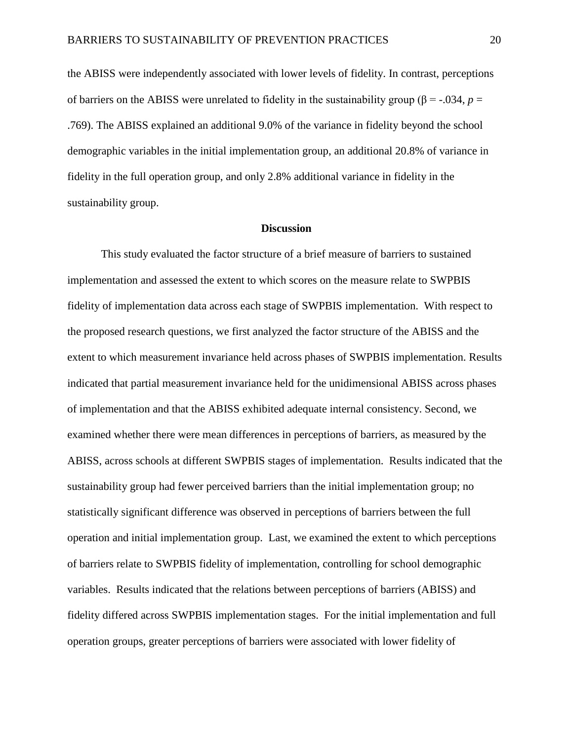the ABISS were independently associated with lower levels of fidelity. In contrast, perceptions of barriers on the ABISS were unrelated to fidelity in the sustainability group (β = -.034, *p* = .769). The ABISS explained an additional 9.0% of the variance in fidelity beyond the school demographic variables in the initial implementation group, an additional 20.8% of variance in fidelity in the full operation group, and only 2.8% additional variance in fidelity in the sustainability group.

#### **Discussion**

This study evaluated the factor structure of a brief measure of barriers to sustained implementation and assessed the extent to which scores on the measure relate to SWPBIS fidelity of implementation data across each stage of SWPBIS implementation. With respect to the proposed research questions, we first analyzed the factor structure of the ABISS and the extent to which measurement invariance held across phases of SWPBIS implementation. Results indicated that partial measurement invariance held for the unidimensional ABISS across phases of implementation and that the ABISS exhibited adequate internal consistency. Second, we examined whether there were mean differences in perceptions of barriers, as measured by the ABISS, across schools at different SWPBIS stages of implementation. Results indicated that the sustainability group had fewer perceived barriers than the initial implementation group; no statistically significant difference was observed in perceptions of barriers between the full operation and initial implementation group. Last, we examined the extent to which perceptions of barriers relate to SWPBIS fidelity of implementation, controlling for school demographic variables. Results indicated that the relations between perceptions of barriers (ABISS) and fidelity differed across SWPBIS implementation stages. For the initial implementation and full operation groups, greater perceptions of barriers were associated with lower fidelity of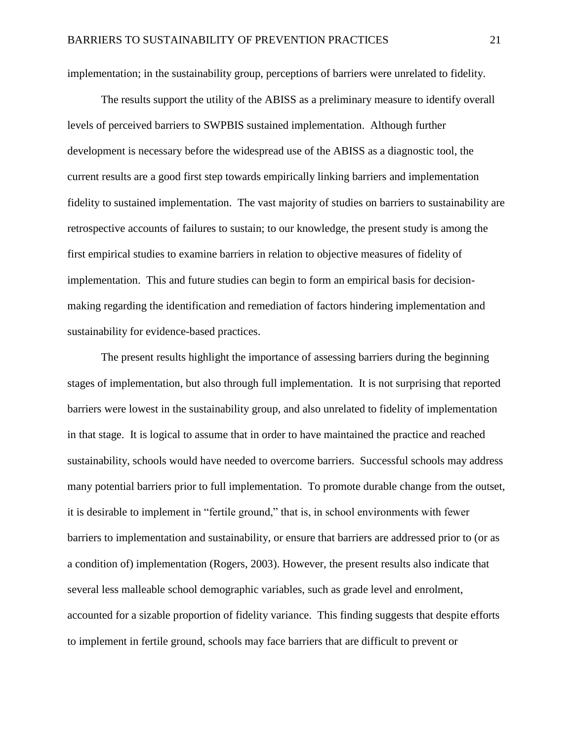implementation; in the sustainability group, perceptions of barriers were unrelated to fidelity.

The results support the utility of the ABISS as a preliminary measure to identify overall levels of perceived barriers to SWPBIS sustained implementation. Although further development is necessary before the widespread use of the ABISS as a diagnostic tool, the current results are a good first step towards empirically linking barriers and implementation fidelity to sustained implementation. The vast majority of studies on barriers to sustainability are retrospective accounts of failures to sustain; to our knowledge, the present study is among the first empirical studies to examine barriers in relation to objective measures of fidelity of implementation. This and future studies can begin to form an empirical basis for decisionmaking regarding the identification and remediation of factors hindering implementation and sustainability for evidence-based practices.

The present results highlight the importance of assessing barriers during the beginning stages of implementation, but also through full implementation. It is not surprising that reported barriers were lowest in the sustainability group, and also unrelated to fidelity of implementation in that stage. It is logical to assume that in order to have maintained the practice and reached sustainability, schools would have needed to overcome barriers. Successful schools may address many potential barriers prior to full implementation. To promote durable change from the outset, it is desirable to implement in "fertile ground," that is, in school environments with fewer barriers to implementation and sustainability, or ensure that barriers are addressed prior to (or as a condition of) implementation [\(Rogers, 2003\)](#page-30-8). However, the present results also indicate that several less malleable school demographic variables, such as grade level and enrolment, accounted for a sizable proportion of fidelity variance. This finding suggests that despite efforts to implement in fertile ground, schools may face barriers that are difficult to prevent or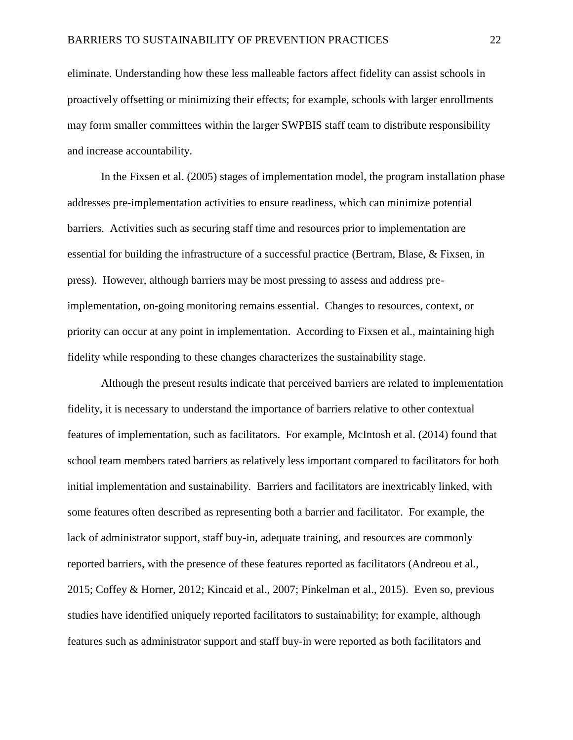eliminate. Understanding how these less malleable factors affect fidelity can assist schools in proactively offsetting or minimizing their effects; for example, schools with larger enrollments may form smaller committees within the larger SWPBIS staff team to distribute responsibility and increase accountability.

In the [Fixsen et al. \(2005\)](#page-25-0) stages of implementation model, the program installation phase addresses pre-implementation activities to ensure readiness, which can minimize potential barriers. Activities such as securing staff time and resources prior to implementation are essential for building the infrastructure of a successful practice [\(Bertram, Blase, & Fixsen, in](#page-25-7)  [press\)](#page-25-7). However, although barriers may be most pressing to assess and address preimplementation, on-going monitoring remains essential. Changes to resources, context, or priority can occur at any point in implementation. According to Fixsen et al., maintaining high fidelity while responding to these changes characterizes the sustainability stage.

Although the present results indicate that perceived barriers are related to implementation fidelity, it is necessary to understand the importance of barriers relative to other contextual features of implementation, such as facilitators. For example, [McIntosh et al. \(2014\)](#page-29-2) found that school team members rated barriers as relatively less important compared to facilitators for both initial implementation and sustainability. Barriers and facilitators are inextricably linked, with some features often described as representing both a barrier and facilitator. For example, the lack of administrator support, staff buy-in, adequate training, and resources are commonly reported barriers, with the presence of these features reported as facilitators [\(Andreou et al.,](#page-25-1)  [2015;](#page-25-1) [Coffey & Horner, 2012;](#page-25-4) [Kincaid et al., 2007;](#page-27-2) [Pinkelman et al., 2015\)](#page-29-1). Even so, previous studies have identified uniquely reported facilitators to sustainability; for example, although features such as administrator support and staff buy-in were reported as both facilitators and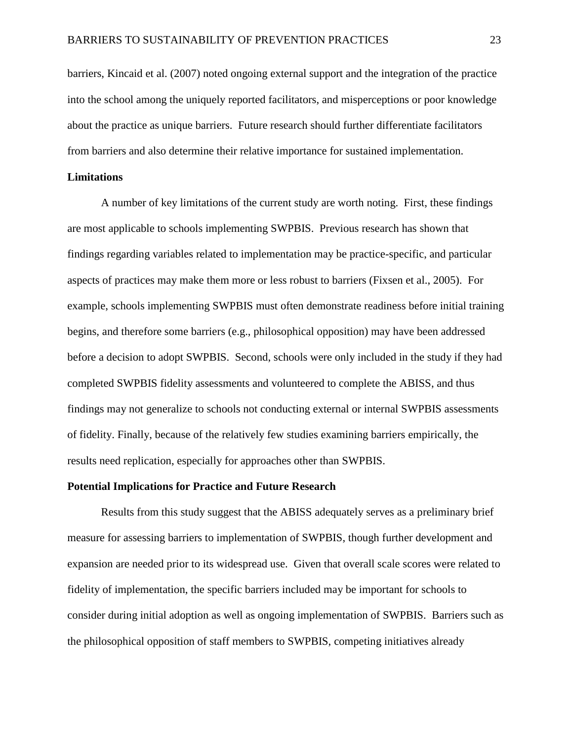barriers, Kincaid et al. [\(2007\)](#page-27-2) noted ongoing external support and the integration of the practice into the school among the uniquely reported facilitators, and misperceptions or poor knowledge about the practice as unique barriers. Future research should further differentiate facilitators from barriers and also determine their relative importance for sustained implementation.

#### **Limitations**

A number of key limitations of the current study are worth noting. First, these findings are most applicable to schools implementing SWPBIS. Previous research has shown that findings regarding variables related to implementation may be practice-specific, and particular aspects of practices may make them more or less robust to barriers [\(Fixsen et al., 2005\)](#page-25-0). For example, schools implementing SWPBIS must often demonstrate readiness before initial training begins, and therefore some barriers (e.g., philosophical opposition) may have been addressed before a decision to adopt SWPBIS. Second, schools were only included in the study if they had completed SWPBIS fidelity assessments and volunteered to complete the ABISS, and thus findings may not generalize to schools not conducting external or internal SWPBIS assessments of fidelity. Finally, because of the relatively few studies examining barriers empirically, the results need replication, especially for approaches other than SWPBIS.

#### **Potential Implications for Practice and Future Research**

Results from this study suggest that the ABISS adequately serves as a preliminary brief measure for assessing barriers to implementation of SWPBIS, though further development and expansion are needed prior to its widespread use. Given that overall scale scores were related to fidelity of implementation, the specific barriers included may be important for schools to consider during initial adoption as well as ongoing implementation of SWPBIS. Barriers such as the philosophical opposition of staff members to SWPBIS, competing initiatives already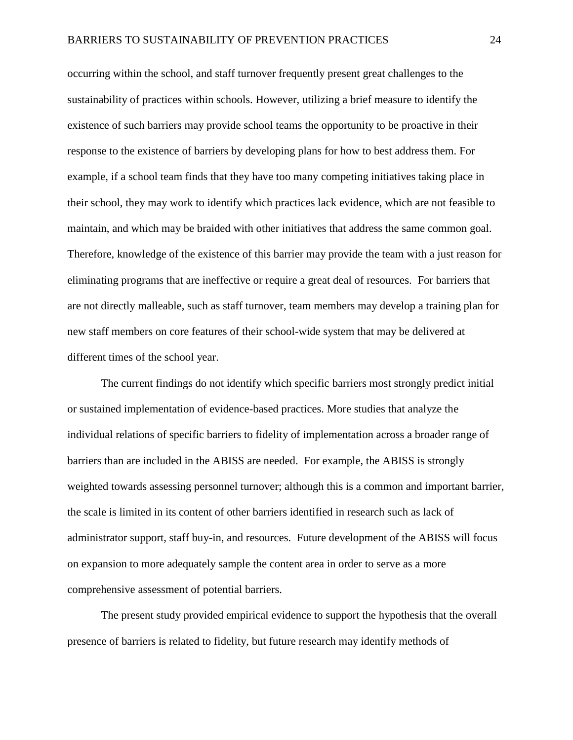occurring within the school, and staff turnover frequently present great challenges to the sustainability of practices within schools. However, utilizing a brief measure to identify the existence of such barriers may provide school teams the opportunity to be proactive in their response to the existence of barriers by developing plans for how to best address them. For example, if a school team finds that they have too many competing initiatives taking place in their school, they may work to identify which practices lack evidence, which are not feasible to maintain, and which may be braided with other initiatives that address the same common goal. Therefore, knowledge of the existence of this barrier may provide the team with a just reason for eliminating programs that are ineffective or require a great deal of resources. For barriers that are not directly malleable, such as staff turnover, team members may develop a training plan for new staff members on core features of their school-wide system that may be delivered at different times of the school year.

The current findings do not identify which specific barriers most strongly predict initial or sustained implementation of evidence-based practices. More studies that analyze the individual relations of specific barriers to fidelity of implementation across a broader range of barriers than are included in the ABISS are needed. For example, the ABISS is strongly weighted towards assessing personnel turnover; although this is a common and important barrier, the scale is limited in its content of other barriers identified in research such as lack of administrator support, staff buy-in, and resources. Future development of the ABISS will focus on expansion to more adequately sample the content area in order to serve as a more comprehensive assessment of potential barriers.

The present study provided empirical evidence to support the hypothesis that the overall presence of barriers is related to fidelity, but future research may identify methods of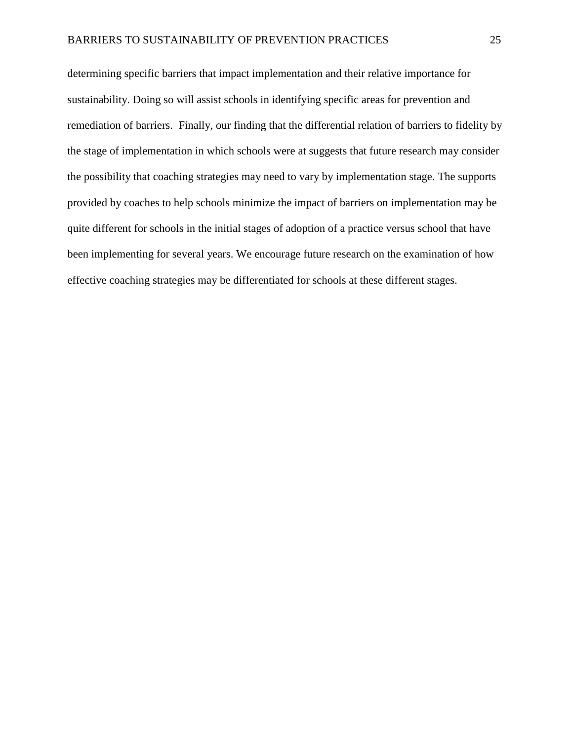determining specific barriers that impact implementation and their relative importance for sustainability. Doing so will assist schools in identifying specific areas for prevention and remediation of barriers. Finally, our finding that the differential relation of barriers to fidelity by the stage of implementation in which schools were at suggests that future research may consider the possibility that coaching strategies may need to vary by implementation stage. The supports provided by coaches to help schools minimize the impact of barriers on implementation may be quite different for schools in the initial stages of adoption of a practice versus school that have been implementing for several years. We encourage future research on the examination of how effective coaching strategies may be differentiated for schools at these different stages.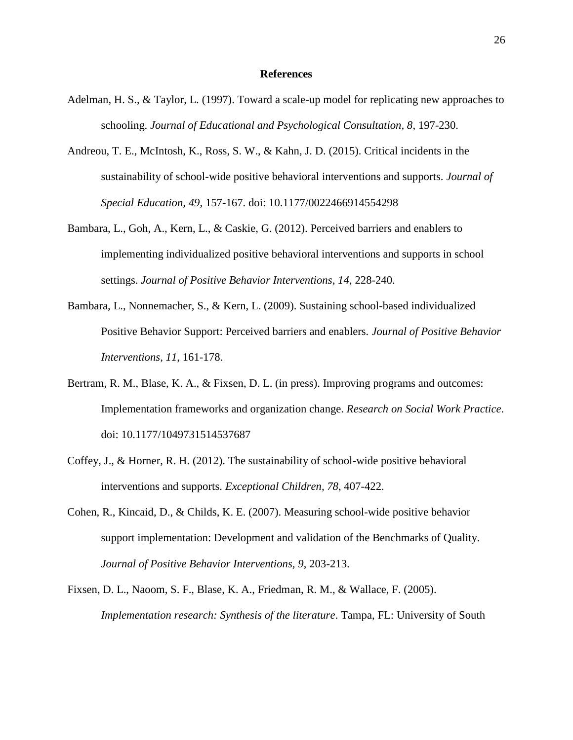#### **References**

- <span id="page-25-5"></span>Adelman, H. S., & Taylor, L. (1997). Toward a scale-up model for replicating new approaches to schooling. *Journal of Educational and Psychological Consultation, 8*, 197-230.
- <span id="page-25-1"></span>Andreou, T. E., McIntosh, K., Ross, S. W., & Kahn, J. D. (2015). Critical incidents in the sustainability of school-wide positive behavioral interventions and supports. *Journal of Special Education, 49*, 157-167. doi: 10.1177/0022466914554298
- <span id="page-25-2"></span>Bambara, L., Goh, A., Kern, L., & Caskie, G. (2012). Perceived barriers and enablers to implementing individualized positive behavioral interventions and supports in school settings. *Journal of Positive Behavior Interventions, 14*, 228-240.
- <span id="page-25-3"></span>Bambara, L., Nonnemacher, S., & Kern, L. (2009). Sustaining school-based individualized Positive Behavior Support: Perceived barriers and enablers. *Journal of Positive Behavior Interventions, 11*, 161-178.
- <span id="page-25-7"></span>Bertram, R. M., Blase, K. A., & Fixsen, D. L. (in press). Improving programs and outcomes: Implementation frameworks and organization change. *Research on Social Work Practice*. doi: 10.1177/1049731514537687
- <span id="page-25-4"></span>Coffey, J., & Horner, R. H. (2012). The sustainability of school-wide positive behavioral interventions and supports. *Exceptional Children, 78*, 407-422.
- <span id="page-25-6"></span>Cohen, R., Kincaid, D., & Childs, K. E. (2007). Measuring school-wide positive behavior support implementation: Development and validation of the Benchmarks of Quality. *Journal of Positive Behavior Interventions, 9*, 203-213.
- <span id="page-25-0"></span>Fixsen, D. L., Naoom, S. F., Blase, K. A., Friedman, R. M., & Wallace, F. (2005). *Implementation research: Synthesis of the literature*. Tampa, FL: University of South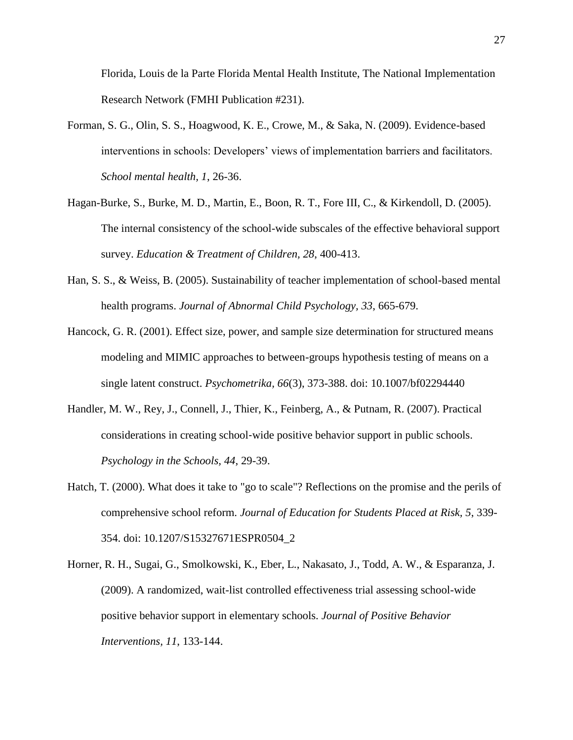Florida, Louis de la Parte Florida Mental Health Institute, The National Implementation Research Network (FMHI Publication #231).

- <span id="page-26-0"></span>Forman, S. G., Olin, S. S., Hoagwood, K. E., Crowe, M., & Saka, N. (2009). Evidence-based interventions in schools: Developers' views of implementation barriers and facilitators. *School mental health, 1*, 26-36.
- <span id="page-26-5"></span>Hagan-Burke, S., Burke, M. D., Martin, E., Boon, R. T., Fore III, C., & Kirkendoll, D. (2005). The internal consistency of the school-wide subscales of the effective behavioral support survey. *Education & Treatment of Children, 28*, 400-413.
- <span id="page-26-1"></span>Han, S. S., & Weiss, B. (2005). Sustainability of teacher implementation of school-based mental health programs. *Journal of Abnormal Child Psychology, 33*, 665-679.
- <span id="page-26-6"></span>Hancock, G. R. (2001). Effect size, power, and sample size determination for structured means modeling and MIMIC approaches to between-groups hypothesis testing of means on a single latent construct. *Psychometrika, 66*(3), 373-388. doi: 10.1007/bf02294440
- <span id="page-26-3"></span>Handler, M. W., Rey, J., Connell, J., Thier, K., Feinberg, A., & Putnam, R. (2007). Practical considerations in creating school‐wide positive behavior support in public schools. *Psychology in the Schools, 44*, 29-39.
- <span id="page-26-4"></span>Hatch, T. (2000). What does it take to "go to scale"? Reflections on the promise and the perils of comprehensive school reform. *Journal of Education for Students Placed at Risk, 5*, 339- 354. doi: 10.1207/S15327671ESPR0504\_2
- <span id="page-26-2"></span>Horner, R. H., Sugai, G., Smolkowski, K., Eber, L., Nakasato, J., Todd, A. W., & Esparanza, J. (2009). A randomized, wait-list controlled effectiveness trial assessing school-wide positive behavior support in elementary schools. *Journal of Positive Behavior Interventions, 11*, 133-144.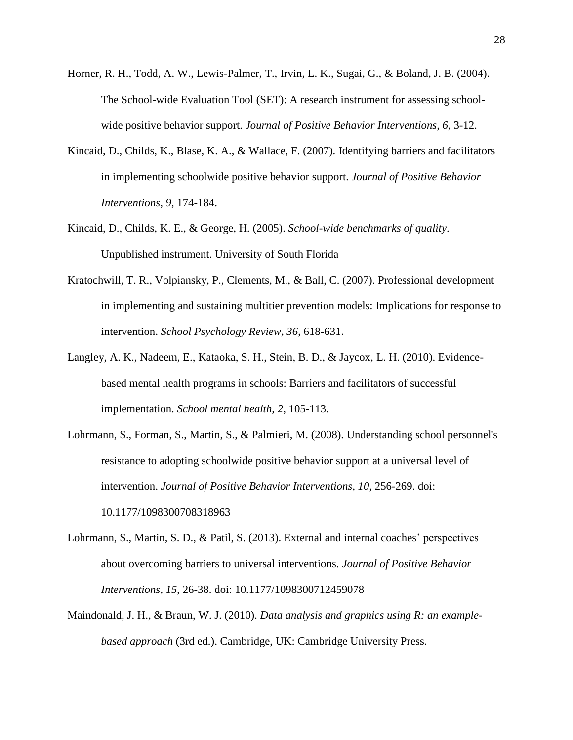- <span id="page-27-6"></span>Horner, R. H., Todd, A. W., Lewis-Palmer, T., Irvin, L. K., Sugai, G., & Boland, J. B. (2004). The School-wide Evaluation Tool (SET): A research instrument for assessing schoolwide positive behavior support. *Journal of Positive Behavior Interventions, 6*, 3-12.
- <span id="page-27-2"></span>Kincaid, D., Childs, K., Blase, K. A., & Wallace, F. (2007). Identifying barriers and facilitators in implementing schoolwide positive behavior support. *Journal of Positive Behavior Interventions, 9*, 174-184.
- <span id="page-27-5"></span>Kincaid, D., Childs, K. E., & George, H. (2005). *School-wide benchmarks of quality*. Unpublished instrument. University of South Florida
- <span id="page-27-3"></span>Kratochwill, T. R., Volpiansky, P., Clements, M., & Ball, C. (2007). Professional development in implementing and sustaining multitier prevention models: Implications for response to intervention. *School Psychology Review, 36*, 618-631.
- <span id="page-27-4"></span>Langley, A. K., Nadeem, E., Kataoka, S. H., Stein, B. D., & Jaycox, L. H. (2010). Evidencebased mental health programs in schools: Barriers and facilitators of successful implementation. *School mental health, 2*, 105-113.
- <span id="page-27-1"></span>Lohrmann, S., Forman, S., Martin, S., & Palmieri, M. (2008). Understanding school personnel's resistance to adopting schoolwide positive behavior support at a universal level of intervention. *Journal of Positive Behavior Interventions, 10*, 256-269. doi: 10.1177/1098300708318963
- <span id="page-27-0"></span>Lohrmann, S., Martin, S. D., & Patil, S. (2013). External and internal coaches' perspectives about overcoming barriers to universal interventions. *Journal of Positive Behavior Interventions, 15*, 26-38. doi: 10.1177/1098300712459078
- <span id="page-27-7"></span>Maindonald, J. H., & Braun, W. J. (2010). *Data analysis and graphics using R: an examplebased approach* (3rd ed.). Cambridge, UK: Cambridge University Press.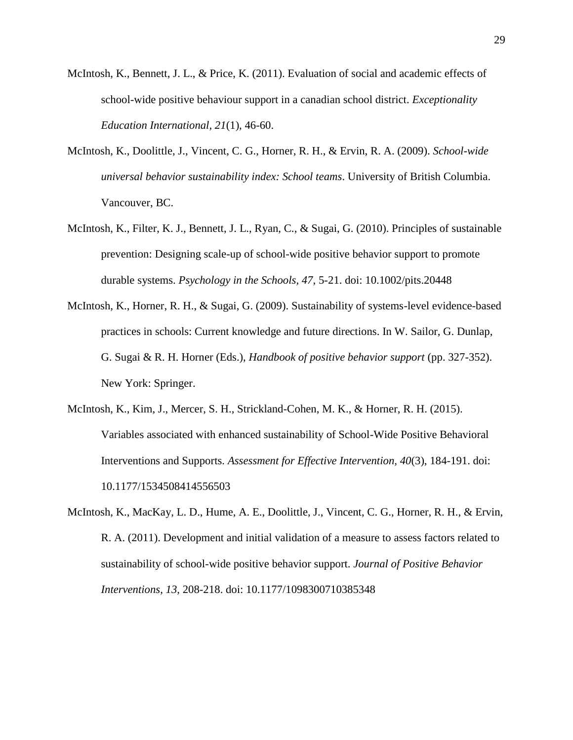- <span id="page-28-1"></span>McIntosh, K., Bennett, J. L., & Price, K. (2011). Evaluation of social and academic effects of school-wide positive behaviour support in a canadian school district. *Exceptionality Education International, 21*(1), 46-60.
- <span id="page-28-4"></span>McIntosh, K., Doolittle, J., Vincent, C. G., Horner, R. H., & Ervin, R. A. (2009). *School-wide universal behavior sustainability index: School teams*. University of British Columbia. Vancouver, BC.
- <span id="page-28-2"></span>McIntosh, K., Filter, K. J., Bennett, J. L., Ryan, C., & Sugai, G. (2010). Principles of sustainable prevention: Designing scale-up of school-wide positive behavior support to promote durable systems. *Psychology in the Schools, 47*, 5-21. doi: 10.1002/pits.20448
- <span id="page-28-0"></span>McIntosh, K., Horner, R. H., & Sugai, G. (2009). Sustainability of systems-level evidence-based practices in schools: Current knowledge and future directions. In W. Sailor, G. Dunlap, G. Sugai & R. H. Horner (Eds.), *Handbook of positive behavior support* (pp. 327-352). New York: Springer.
- <span id="page-28-3"></span>McIntosh, K., Kim, J., Mercer, S. H., Strickland-Cohen, M. K., & Horner, R. H. (2015). Variables associated with enhanced sustainability of School-Wide Positive Behavioral Interventions and Supports. *Assessment for Effective Intervention, 40*(3), 184-191. doi: 10.1177/1534508414556503
- <span id="page-28-5"></span>McIntosh, K., MacKay, L. D., Hume, A. E., Doolittle, J., Vincent, C. G., Horner, R. H., & Ervin, R. A. (2011). Development and initial validation of a measure to assess factors related to sustainability of school-wide positive behavior support. *Journal of Positive Behavior Interventions, 13*, 208-218. doi: 10.1177/1098300710385348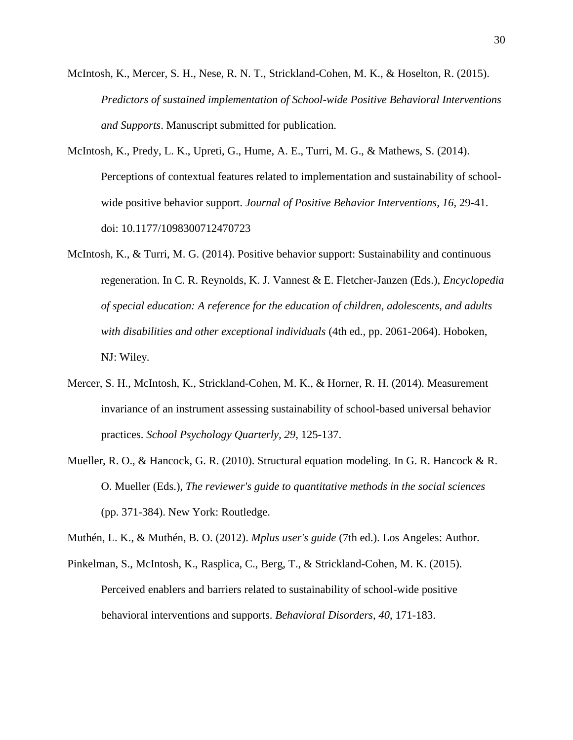- <span id="page-29-4"></span>McIntosh, K., Mercer, S. H., Nese, R. N. T., Strickland-Cohen, M. K., & Hoselton, R. (2015). *Predictors of sustained implementation of School-wide Positive Behavioral Interventions and Supports*. Manuscript submitted for publication.
- <span id="page-29-2"></span>McIntosh, K., Predy, L. K., Upreti, G., Hume, A. E., Turri, M. G., & Mathews, S. (2014). Perceptions of contextual features related to implementation and sustainability of schoolwide positive behavior support. *Journal of Positive Behavior Interventions, 16*, 29-41. doi: 10.1177/1098300712470723
- <span id="page-29-0"></span>McIntosh, K., & Turri, M. G. (2014). Positive behavior support: Sustainability and continuous regeneration. In C. R. Reynolds, K. J. Vannest & E. Fletcher-Janzen (Eds.), *Encyclopedia of special education: A reference for the education of children, adolescents, and adults with disabilities and other exceptional individuals* (4th ed., pp. 2061-2064). Hoboken, NJ: Wiley.
- <span id="page-29-3"></span>Mercer, S. H., McIntosh, K., Strickland-Cohen, M. K., & Horner, R. H. (2014). Measurement invariance of an instrument assessing sustainability of school-based universal behavior practices. *School Psychology Quarterly, 29*, 125-137.
- <span id="page-29-6"></span>Mueller, R. O., & Hancock, G. R. (2010). Structural equation modeling. In G. R. Hancock & R. O. Mueller (Eds.), *The reviewer's guide to quantitative methods in the social sciences* (pp. 371-384). New York: Routledge.

<span id="page-29-5"></span>Muthén, L. K., & Muthén, B. O. (2012). *Mplus user's guide* (7th ed.). Los Angeles: Author.

<span id="page-29-1"></span>Pinkelman, S., McIntosh, K., Rasplica, C., Berg, T., & Strickland-Cohen, M. K. (2015). Perceived enablers and barriers related to sustainability of school-wide positive behavioral interventions and supports. *Behavioral Disorders, 40*, 171-183.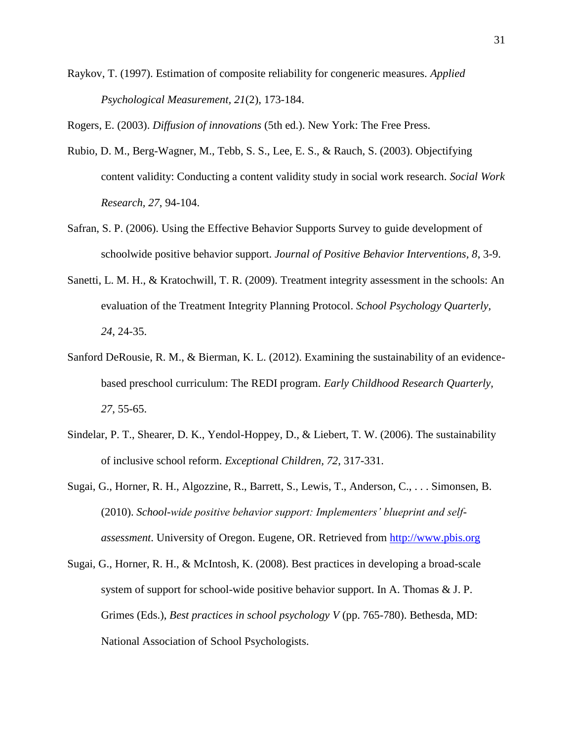<span id="page-30-7"></span>Raykov, T. (1997). Estimation of composite reliability for congeneric measures. *Applied Psychological Measurement, 21*(2), 173-184.

<span id="page-30-8"></span>Rogers, E. (2003). *Diffusion of innovations* (5th ed.). New York: The Free Press.

- <span id="page-30-5"></span>Rubio, D. M., Berg-Wagner, M., Tebb, S. S., Lee, E. S., & Rauch, S. (2003). Objectifying content validity: Conducting a content validity study in social work research. *Social Work Research, 27*, 94-104.
- <span id="page-30-6"></span>Safran, S. P. (2006). Using the Effective Behavior Supports Survey to guide development of schoolwide positive behavior support. *Journal of Positive Behavior Interventions, 8*, 3-9.
- <span id="page-30-0"></span>Sanetti, L. M. H., & Kratochwill, T. R. (2009). Treatment integrity assessment in the schools: An evaluation of the Treatment Integrity Planning Protocol. *School Psychology Quarterly, 24*, 24-35.
- <span id="page-30-3"></span>Sanford DeRousie, R. M., & Bierman, K. L. (2012). Examining the sustainability of an evidencebased preschool curriculum: The REDI program. *Early Childhood Research Quarterly, 27*, 55-65.
- <span id="page-30-2"></span>Sindelar, P. T., Shearer, D. K., Yendol-Hoppey, D., & Liebert, T. W. (2006). The sustainability of inclusive school reform. *Exceptional Children, 72*, 317-331.
- <span id="page-30-1"></span>Sugai, G., Horner, R. H., Algozzine, R., Barrett, S., Lewis, T., Anderson, C., . . . Simonsen, B. (2010). *School-wide positive behavior support: Implementers' blueprint and selfassessment*. University of Oregon. Eugene, OR. Retrieved from [http://www.pbis.org](http://www.pbis.org/)
- <span id="page-30-4"></span>Sugai, G., Horner, R. H., & McIntosh, K. (2008). Best practices in developing a broad-scale system of support for school-wide positive behavior support. In A. Thomas & J. P. Grimes (Eds.), *Best practices in school psychology V* (pp. 765-780). Bethesda, MD: National Association of School Psychologists.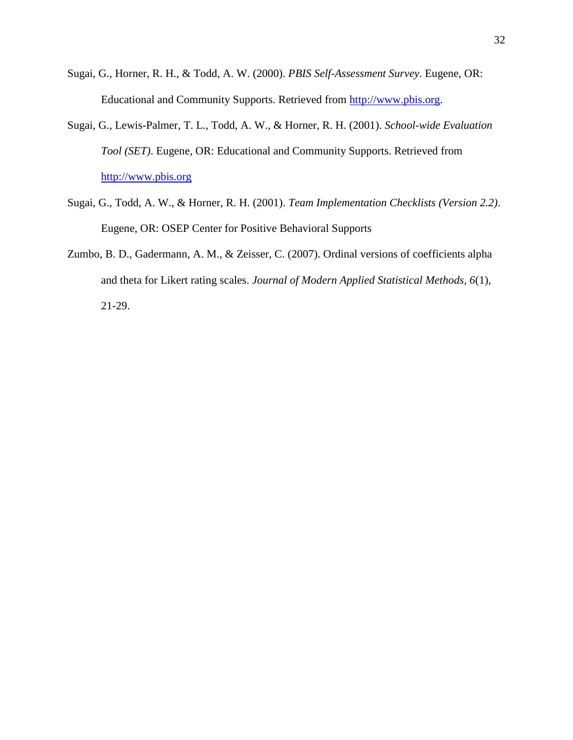- <span id="page-31-1"></span>Sugai, G., Horner, R. H., & Todd, A. W. (2000). *PBIS Self-Assessment Survey*. Eugene, OR: Educational and Community Supports. Retrieved from [http://www.pbis.org.](http://www.pbis.org/)
- <span id="page-31-0"></span>Sugai, G., Lewis-Palmer, T. L., Todd, A. W., & Horner, R. H. (2001). *School-wide Evaluation Tool (SET)*. Eugene, OR: Educational and Community Supports. Retrieved from [http://www.pbis.org](http://www.pbis.org/)
- <span id="page-31-2"></span>Sugai, G., Todd, A. W., & Horner, R. H. (2001). *Team Implementation Checklists (Version 2.2)*. Eugene, OR: OSEP Center for Positive Behavioral Supports
- <span id="page-31-3"></span>Zumbo, B. D., Gadermann, A. M., & Zeisser, C. (2007). Ordinal versions of coefficients alpha and theta for Likert rating scales. *Journal of Modern Applied Statistical Methods, 6*(1), 21-29.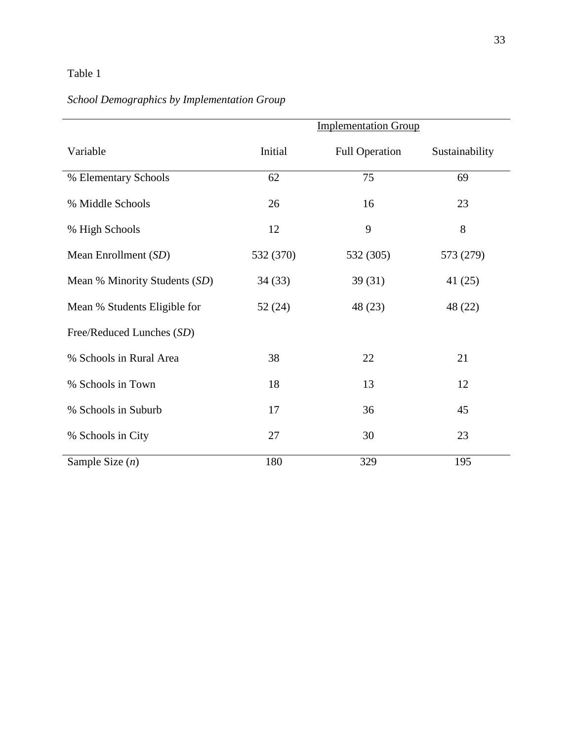# Table 1

# *School Demographics by Implementation Group*

|                               | <b>Implementation Group</b> |                       |                |  |
|-------------------------------|-----------------------------|-----------------------|----------------|--|
| Variable                      | Initial                     | <b>Full Operation</b> | Sustainability |  |
| % Elementary Schools          | 62                          | 75                    | 69             |  |
| % Middle Schools              | 26                          | 16                    | 23             |  |
| % High Schools                | 12                          | 9                     | 8              |  |
| Mean Enrollment (SD)          | 532 (370)                   | 532 (305)             | 573 (279)      |  |
| Mean % Minority Students (SD) | 34(33)                      | 39(31)                | 41 (25)        |  |
| Mean % Students Eligible for  | 52(24)                      | 48 (23)               | 48 (22)        |  |
| Free/Reduced Lunches (SD)     |                             |                       |                |  |
| % Schools in Rural Area       | 38                          | 22                    | 21             |  |
| % Schools in Town             | 18                          | 13                    | 12             |  |
| % Schools in Suburb           | 17                          | 36                    | 45             |  |
| % Schools in City             | 27                          | 30                    | 23             |  |
| Sample Size $(n)$             | 180                         | 329                   | 195            |  |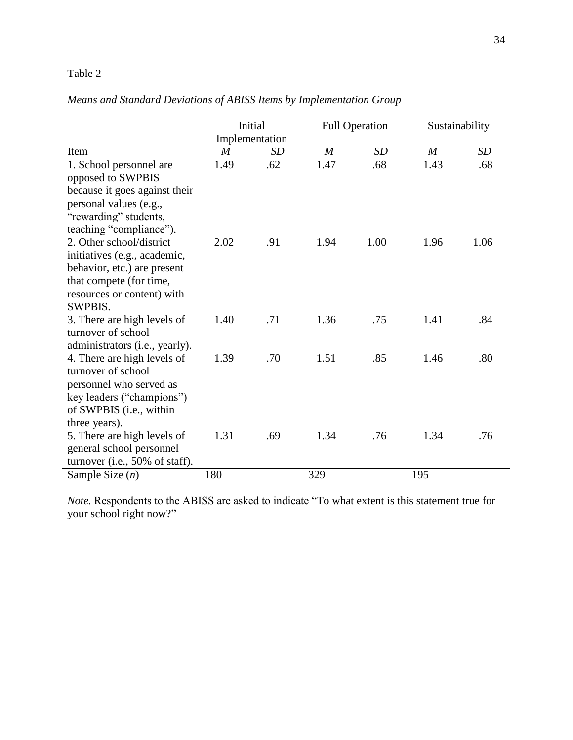## Table 2

| Means and Standard Deviations of ABISS Items by Implementation Group |  |  |  |
|----------------------------------------------------------------------|--|--|--|
|                                                                      |  |  |  |

|                                                         |                  | Initial        |      | <b>Full Operation</b> |                  | Sustainability |
|---------------------------------------------------------|------------------|----------------|------|-----------------------|------------------|----------------|
|                                                         |                  | Implementation |      |                       |                  |                |
| Item                                                    | $\boldsymbol{M}$ | <b>SD</b>      | M    | <b>SD</b>             | $\boldsymbol{M}$ | SD             |
| 1. School personnel are                                 | 1.49             | .62            | 1.47 | .68                   | 1.43             | .68            |
| opposed to SWPBIS                                       |                  |                |      |                       |                  |                |
| because it goes against their                           |                  |                |      |                       |                  |                |
| personal values (e.g.,                                  |                  |                |      |                       |                  |                |
| "rewarding" students,                                   |                  |                |      |                       |                  |                |
| teaching "compliance").                                 |                  |                |      |                       |                  |                |
| 2. Other school/district                                | 2.02             | .91            | 1.94 | 1.00                  | 1.96             | 1.06           |
| initiatives (e.g., academic,                            |                  |                |      |                       |                  |                |
| behavior, etc.) are present                             |                  |                |      |                       |                  |                |
| that compete (for time,                                 |                  |                |      |                       |                  |                |
| resources or content) with                              |                  |                |      |                       |                  |                |
| <b>SWPBIS.</b>                                          |                  |                |      |                       |                  |                |
| 3. There are high levels of                             | 1.40             | .71            | 1.36 | .75                   | 1.41             | .84            |
| turnover of school                                      |                  |                |      |                       |                  |                |
| administrators (i.e., yearly).                          |                  |                |      |                       |                  |                |
| 4. There are high levels of                             | 1.39             | .70            | 1.51 | .85                   | 1.46             | .80            |
| turnover of school                                      |                  |                |      |                       |                  |                |
| personnel who served as                                 |                  |                |      |                       |                  |                |
| key leaders ("champions")                               |                  |                |      |                       |                  |                |
| of SWPBIS (i.e., within                                 |                  |                |      |                       |                  |                |
| three years).                                           | 1.31             | .69            | 1.34 | .76                   | 1.34             | .76            |
| 5. There are high levels of<br>general school personnel |                  |                |      |                       |                  |                |
| turnover (i.e., $50\%$ of staff).                       |                  |                |      |                       |                  |                |
| Sample Size $(n)$                                       | 180              |                | 329  |                       | 195              |                |
|                                                         |                  |                |      |                       |                  |                |

*Note.* Respondents to the ABISS are asked to indicate "To what extent is this statement true for your school right now?"